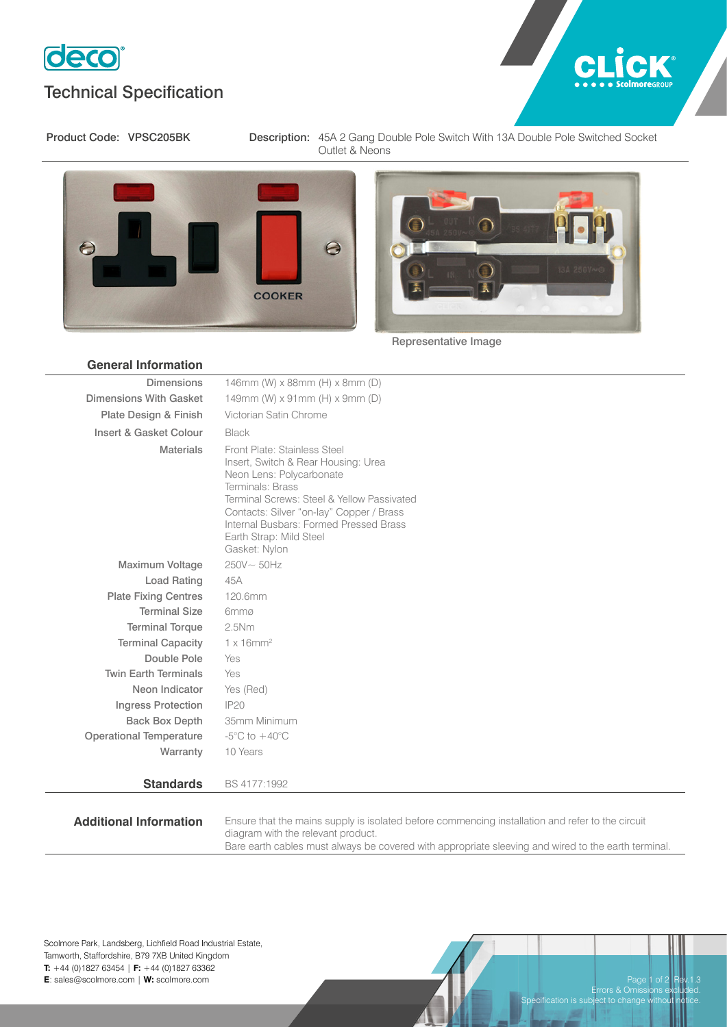

## Technical Specification



Product Code: VPSC205BK Description: 45A 2 Gang Double Pole Switch With 13A Double Pole Switched Socket Outlet & Neons





Representative Image

| <b>General Information</b>     |                                                                                                                                                                                                                                                                                                     |
|--------------------------------|-----------------------------------------------------------------------------------------------------------------------------------------------------------------------------------------------------------------------------------------------------------------------------------------------------|
| <b>Dimensions</b>              | 146mm (W) x 88mm (H) x 8mm (D)                                                                                                                                                                                                                                                                      |
| Dimensions With Gasket         | 149mm (W) x 91mm (H) x 9mm (D)                                                                                                                                                                                                                                                                      |
| Plate Design & Finish          | Victorian Satin Chrome                                                                                                                                                                                                                                                                              |
| Insert & Gasket Colour         | Black                                                                                                                                                                                                                                                                                               |
| <b>Materials</b>               | Front Plate: Stainless Steel<br>Insert, Switch & Rear Housing: Urea<br>Neon Lens: Polycarbonate<br>Terminals: Brass<br>Terminal Screws: Steel & Yellow Passivated<br>Contacts: Silver "on-lay" Copper / Brass<br>Internal Busbars: Formed Pressed Brass<br>Earth Strap: Mild Steel<br>Gasket: Nylon |
| <b>Maximum Voltage</b>         | $250V \sim 50Hz$                                                                                                                                                                                                                                                                                    |
| <b>Load Rating</b>             | 45A                                                                                                                                                                                                                                                                                                 |
| <b>Plate Fixing Centres</b>    | 120.6mm                                                                                                                                                                                                                                                                                             |
| <b>Terminal Size</b>           | 6mmø                                                                                                                                                                                                                                                                                                |
| <b>Terminal Torque</b>         | 2.5Nm                                                                                                                                                                                                                                                                                               |
| <b>Terminal Capacity</b>       | $1 \times 16$ mm <sup>2</sup>                                                                                                                                                                                                                                                                       |
| Double Pole                    | Yes                                                                                                                                                                                                                                                                                                 |
| <b>Twin Earth Terminals</b>    | Yes                                                                                                                                                                                                                                                                                                 |
| Neon Indicator                 | Yes (Red)                                                                                                                                                                                                                                                                                           |
| <b>Ingress Protection</b>      | <b>IP20</b>                                                                                                                                                                                                                                                                                         |
| <b>Back Box Depth</b>          | 35mm Minimum                                                                                                                                                                                                                                                                                        |
| <b>Operational Temperature</b> | $-5^{\circ}$ C to $+40^{\circ}$ C                                                                                                                                                                                                                                                                   |
| Warranty                       | 10 Years                                                                                                                                                                                                                                                                                            |
| <b>Standards</b>               | BS 4177:1992                                                                                                                                                                                                                                                                                        |

Additional Information Ensure that the mains supply is isolated before commencing installation and refer to the circuit diagram with the relevant product. Bare earth cables must always be covered with appropriate sleeving and wired to the earth terminal.